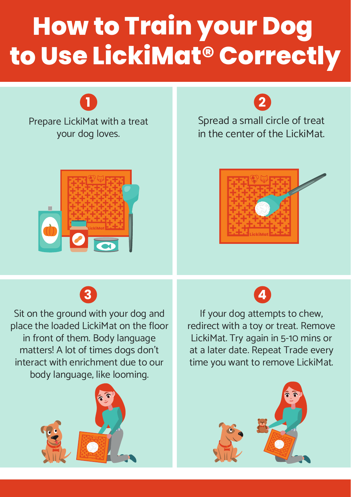# **How to Train your Dog to Use LickiMat® Correctly**

Prepare LickiMat with a treat your dog loves. **1 2**



Spread a small circle of treat in the center of the LickiMat.





Sit on the ground with your dog and place the loaded LickiMat on the floor in front of them. Body language matters! A lot of times dogs don't interact with enrichment due to our body language, like looming.



**3 4**

If your dog attempts to chew, redirect with a toy or treat. Remove LickiMat. Try again in 5-10 mins or at a later date. Repeat Trade every time you want to remove LickiMat.